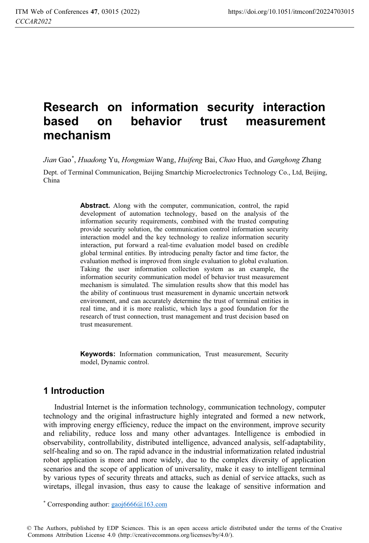# **Research on information security interaction based on behavior trust measurement mechanism**

*Jian* Gao\* , *Huadong* Yu, *Hongmian* Wang, *Huifeng* Bai, *Chao* Huo, and *Ganghong* Zhang

Dept. of Terminal Communication, Beijing Smartchip Microelectronics Technology Co., Ltd, Beijing, China

> **Abstract.** Along with the computer, communication, control, the rapid development of automation technology, based on the analysis of the information security requirements, combined with the trusted computing provide security solution, the communication control information security interaction model and the key technology to realize information security interaction, put forward a real-time evaluation model based on credible global terminal entities. By introducing penalty factor and time factor, the evaluation method is improved from single evaluation to global evaluation. Taking the user information collection system as an example, the information security communication model of behavior trust measurement mechanism is simulated. The simulation results show that this model has the ability of continuous trust measurement in dynamic uncertain network environment, and can accurately determine the trust of terminal entities in real time, and it is more realistic, which lays a good foundation for the research of trust connection, trust management and trust decision based on trust measurement.

> **Keywords:** Information communication, Trust measurement, Security model, Dynamic control.

## **1 Introduction**

Industrial Internet is the information technology, communication technology, computer technology and the original infrastructure highly integrated and formed a new network, with improving energy efficiency, reduce the impact on the environment, improve security and reliability, reduce loss and many other advantages. Intelligence is embodied in observability, controllability, distributed intelligence, advanced analysis, self-adaptability, self-healing and so on. The rapid advance in the industrial informatization related industrial robot application is more and more widely, due to the complex diversity of application scenarios and the scope of application of universality, make it easy to intelligent terminal by various types of security threats and attacks, such as denial of service attacks, such as wiretaps, illegal invasion, thus easy to cause the leakage of sensitive information and

\* Corresponding author:  $gaoj6666@l63.com$ 

© The Authors, published by EDP Sciences. This is an open access article distributed under the terms of the Creative Commons Attribution License 4.0 (http://creativecommons.org/licenses/by/4.0/).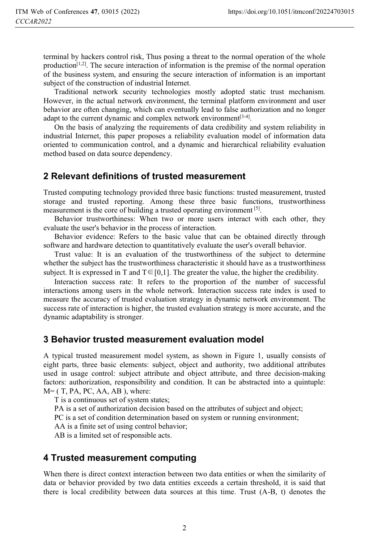terminal by hackers control risk, Thus posing a threat to the normal operation of the whole production<sup>[1,2]</sup>. The secure interaction of information is the premise of the normal operation of the business system, and ensuring the secure interaction of information is an important subject of the construction of industrial Internet.

Traditional network security technologies mostly adopted static trust mechanism. However, in the actual network environment, the terminal platform environment and user behavior are often changing, which can eventually lead to false authorization and no longer adapt to the current dynamic and complex network environment  $[3-4]$ .

On the basis of analyzing the requirements of data credibility and system reliability in industrial Internet, this paper proposes a reliability evaluation model of information data oriented to communication control, and a dynamic and hierarchical reliability evaluation method based on data source dependency.

## **2 Relevant definitions of trusted measurement**

Trusted computing technology provided three basic functions: trusted measurement, trusted storage and trusted reporting. Among these three basic functions, trustworthiness measurement is the core of building a trusted operating environment [5].

Behavior trustworthiness: When two or more users interact with each other, they evaluate the user's behavior in the process of interaction.

Behavior evidence: Refers to the basic value that can be obtained directly through software and hardware detection to quantitatively evaluate the user's overall behavior.

Trust value: It is an evaluation of the trustworthiness of the subject to determine whether the subject has the trustworthiness characteristic it should have as a trustworthiness subject. It is expressed in T and  $T \in [0,1]$ . The greater the value, the higher the credibility.

Interaction success rate: It refers to the proportion of the number of successful interactions among users in the whole network. Interaction success rate index is used to measure the accuracy of trusted evaluation strategy in dynamic network environment. The success rate of interaction is higher, the trusted evaluation strategy is more accurate, and the dynamic adaptability is stronger.

## **3 Behavior trusted measurement evaluation model**

A typical trusted measurement model system, as shown in Figure 1, usually consists of eight parts, three basic elements: subject, object and authority, two additional attributes used in usage control: subject attribute and object attribute, and three decision-making factors: authorization, responsibility and condition. It can be abstracted into a quintuple:  $M = (T, PA, PC, AA, AB)$ , where:

T is a continuous set of system states;

PA is a set of authorization decision based on the attributes of subject and object;

PC is a set of condition determination based on system or running environment;

AA is a finite set of using control behavior;

AB is a limited set of responsible acts.

## **4 Trusted measurement computing**

When there is direct context interaction between two data entities or when the similarity of data or behavior provided by two data entities exceeds a certain threshold, it is said that there is local credibility between data sources at this time. Trust (A-B, t) denotes the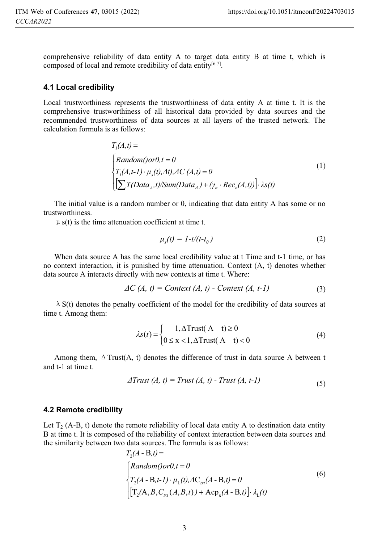comprehensive reliability of data entity A to target data entity B at time t, which is composed of local and remote credibility of data entity $[6.7]$ .

#### **4.1 Local credibility**

Local trustworthiness represents the trustworthiness of data entity A at time t. It is the comprehensive trustworthiness of all historical data provided by data sources and the recommended trustworthiness of data sources at all layers of the trusted network. The calculation formula is as follows:

$$
T_{l}(A,t) =
$$
\n
$$
\begin{cases}\nRandom(0 \text{ or } 0, t = 0) \\
T_{l}(A,t-1) \cdot \mu_{s}(t), \Delta t), \Delta C(A,t) = 0 \\
[\sum T(Data_{A}, t)/Sum(Data_{A}) + (\gamma_{n} \cdot Rec_{n}(A,t))]\cdot \lambda s(t)\n\end{cases}
$$
\n(1)

The initial value is a random number or 0, indicating that data entity A has some or no trustworthiness.

 $\mu$  s(t) is the time attenuation coefficient at time t.

$$
\mu_s(t) = 1 - t/(t - t_0) \tag{2}
$$

When data source A has the same local credibility value at t Time and t-1 time, or has no context interaction, it is punished by time attenuation. Context (A, t) denotes whether data source A interacts directly with new contexts at time t. Where:

$$
\Delta C\,(A,\,t) = \text{Context}\,(A,\,t) - \text{Context}\,(A,\,t-1) \tag{3}
$$

 $\lambda$  S(t) denotes the penalty coefficient of the model for the credibility of data sources at time t. Among them:

$$
\lambda s(t) = \begin{cases} 1, \Delta \text{Trust}(A \ t) \ge 0 \\ 0 \le x < 1, \Delta \text{Trust}(A \ t) < 0 \end{cases} \tag{4}
$$

Among them,  $\Delta$  Trust(A, t) denotes the difference of trust in data source A between t and t-1 at time t.

$$
\Delta Trust (A, t) = Trust (A, t) - Trust (A, t-1)
$$
\n(5)

#### **4.2 Remote credibility**

Let  $T_2$  (A-B, t) denote the remote reliability of local data entity A to destination data entity B at time t. It is composed of the reliability of context interaction between data sources and the similarity between two data sources. The formula is as follows:

$$
T_2(A - B, t) =
$$
  
\n
$$
\begin{cases}\nRandom(0 \text{ or } 0, t = 0) \\
T_2(A - B, t - 1) \cdot \mu_L(t), \Delta C_{\text{tot}}(A - B, t) = 0 \\
[T_2(A, B, C_{\text{tot}}(A, B, t)) + \text{Acp}_n(A - B, t)] \cdot \lambda_L(t)\n\end{cases}
$$
\n(6)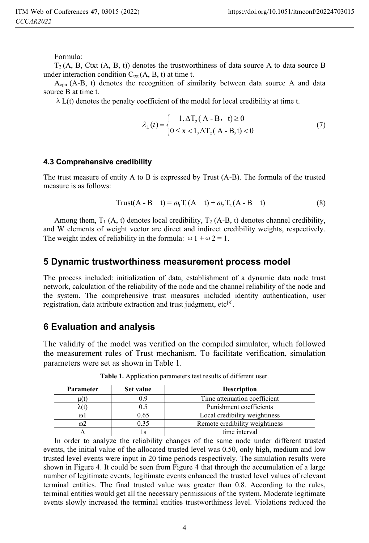Formula:

 $T_2(A, B, Ctxt (A, B, t))$  denotes the trustworthiness of data source A to data source B under interaction condition  $C_{\text{txt}}(A, B, t)$  at time t.

 $A_{\rm{cnn}}$  (A-B, t) denotes the recognition of similarity between data source A and data source B at time t.

 $\lambda$  L(t) denotes the penalty coefficient of the model for local credibility at time t.

$$
\lambda_{L}(t) = \begin{cases} 1, \Delta T_{2}(A - B, t) \ge 0 \\ 0 \le x < 1, \Delta T_{2}(A - B, t) < 0 \end{cases}
$$
(7)

#### **4.3 Comprehensive credibility**

The trust measure of entity A to B is expressed by Trust (A-B). The formula of the trusted measure is as follows:

$$
Trust(A - B t) = \omega_1 T_1(A t) + \omega_2 T_2(A - B t)
$$
\n(8)

Among them,  $T_1$  (A, t) denotes local credibility,  $T_2$  (A-B, t) denotes channel credibility, and W elements of weight vector are direct and indirect credibility weights, respectively. The weight index of reliability in the formula:  $\omega$  1 +  $\omega$  2 = 1.

### **5 Dynamic trustworthiness measurement process model**

The process included: initialization of data, establishment of a dynamic data node trust network, calculation of the reliability of the node and the channel reliability of the node and the system. The comprehensive trust measures included identity authentication, user registration, data attribute extraction and trust judgment,  $etc^{[8]}$ .

## **6 Evaluation and analysis**

The validity of the model was verified on the compiled simulator, which followed the measurement rules of Trust mechanism. To facilitate verification, simulation parameters were set as shown in Table 1.

| Parameter | Set value | <b>Description</b>             |
|-----------|-----------|--------------------------------|
| u(t)      |           | Time attenuation coefficient   |
| λ(t)      | 0.5       | Punishment coefficients        |
| $\omega$  | 0.65      | Local credibility weightiness  |
| ന2        | 0.35      | Remote credibility weightiness |
|           |           | time interval                  |

**Table 1.** Application parameters test results of different user.

In order to analyze the reliability changes of the same node under different trusted events, the initial value of the allocated trusted level was 0.50, only high, medium and low trusted level events were input in 20 time periods respectively. The simulation results were shown in Figure 4. It could be seen from Figure 4 that through the accumulation of a large number of legitimate events, legitimate events enhanced the trusted level values of relevant terminal entities. The final trusted value was greater than 0.8. According to the rules, terminal entities would get all the necessary permissions of the system. Moderate legitimate events slowly increased the terminal entities trustworthiness level. Violations reduced the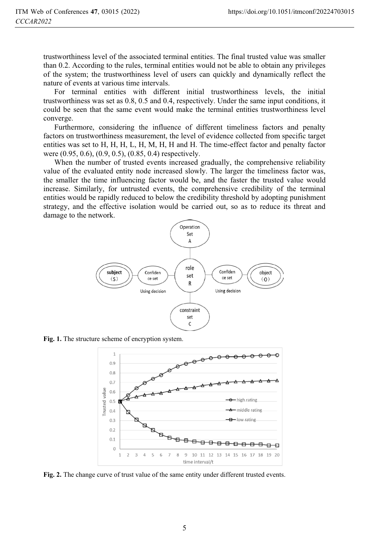trustworthiness level of the associated terminal entities. The final trusted value was smaller than 0.2. According to the rules, terminal entities would not be able to obtain any privileges of the system; the trustworthiness level of users can quickly and dynamically reflect the nature of events at various time intervals.

For terminal entities with different initial trustworthiness levels, the initial trustworthiness was set as 0.8, 0.5 and 0.4, respectively. Under the same input conditions, it could be seen that the same event would make the terminal entities trustworthiness level converge.

Furthermore, considering the influence of different timeliness factors and penalty factors on trustworthiness measurement, the level of evidence collected from specific target entities was set to H, H, H, L, H, M, H, H and H. The time-effect factor and penalty factor were (0.95, 0.6), (0.9, 0.5), (0.85, 0.4) respectively.

When the number of trusted events increased gradually, the comprehensive reliability value of the evaluated entity node increased slowly. The larger the timeliness factor was, the smaller the time influencing factor would be, and the faster the trusted value would increase. Similarly, for untrusted events, the comprehensive credibility of the terminal entities would be rapidly reduced to below the credibility threshold by adopting punishment strategy, and the effective isolation would be carried out, so as to reduce its threat and damage to the network.



**Fig. 1.** The structure scheme of encryption system.



**Fig. 2.** The change curve of trust value of the same entity under different trusted events.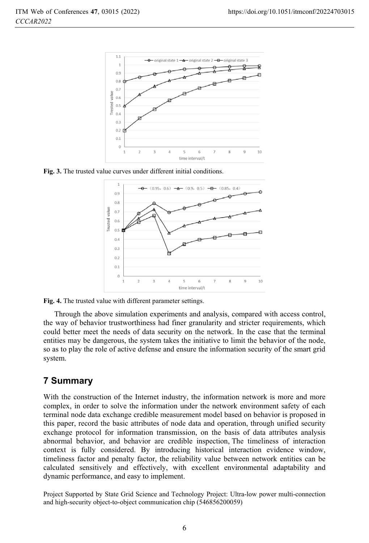

**Fig. 3.** The trusted value curves under different initial conditions.



**Fig. 4.** The trusted value with different parameter settings.

Through the above simulation experiments and analysis, compared with access control, the way of behavior trustworthiness had finer granularity and stricter requirements, which could better meet the needs of data security on the network. In the case that the terminal entities may be dangerous, the system takes the initiative to limit the behavior of the node, so as to play the role of active defense and ensure the information security of the smart grid system.

## **7 Summary**

With the construction of the Internet industry, the information network is more and more complex, in order to solve the information under the network environment safety of each terminal node data exchange credible measurement model based on behavior is proposed in this paper, record the basic attributes of node data and operation, through unified security exchange protocol for information transmission, on the basis of data attributes analysis abnormal behavior, and behavior are credible inspection, The timeliness of interaction context is fully considered. By introducing historical interaction evidence window, timeliness factor and penalty factor, the reliability value between network entities can be calculated sensitively and effectively, with excellent environmental adaptability and dynamic performance, and easy to implement.

Project Supported by State Grid Science and Technology Project: Ultra-low power multi-connection and high-security object-to-object communication chip (546856200059)